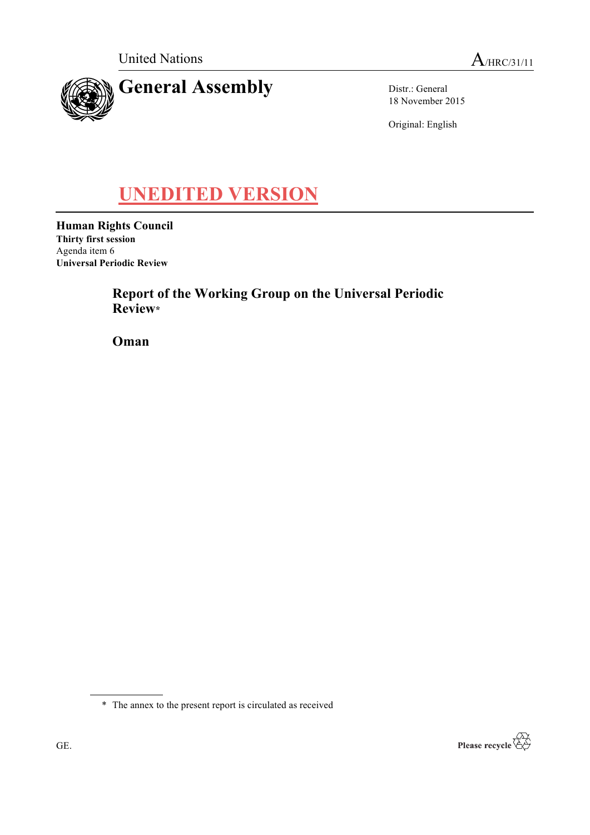

Distr.: General 18 November 2015

Original: English

# **UNEDITED VERSION**

**Human Rights Council Thirty first session** Agenda item 6 **Universal Periodic Review**

> **Report of the Working Group on the Universal Periodic Review\***

**Oman**

\* The annex to the present report is circulated as received

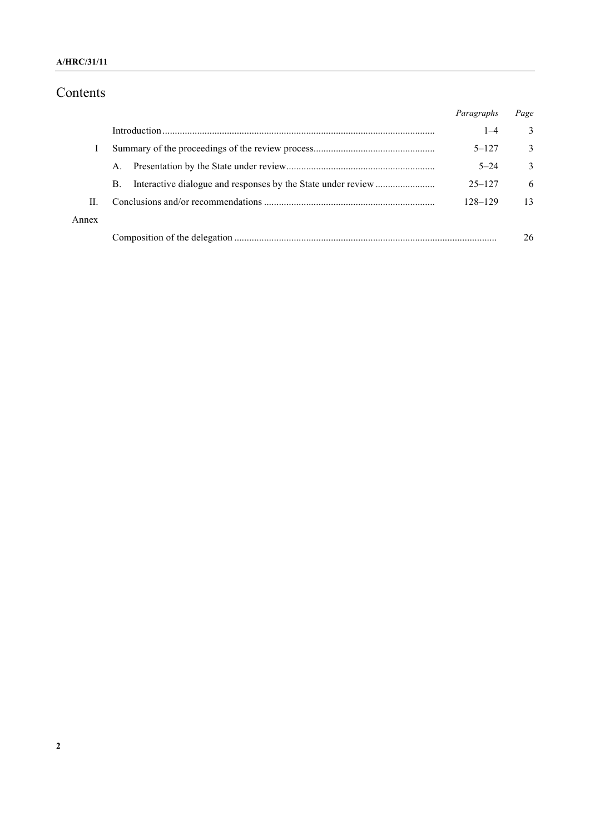## **A/HRC/31/11**

# Contents

|       |    | Paragraphs | Page |
|-------|----|------------|------|
|       |    | $1 - 4$    | 3    |
|       |    | $5 - 127$  | 3    |
|       | A. | $5 - 24$   | 3    |
|       | B. | $25 - 127$ | 6    |
| H.    |    | 128-129    | 13   |
| Annex |    |            |      |
|       |    |            | 26   |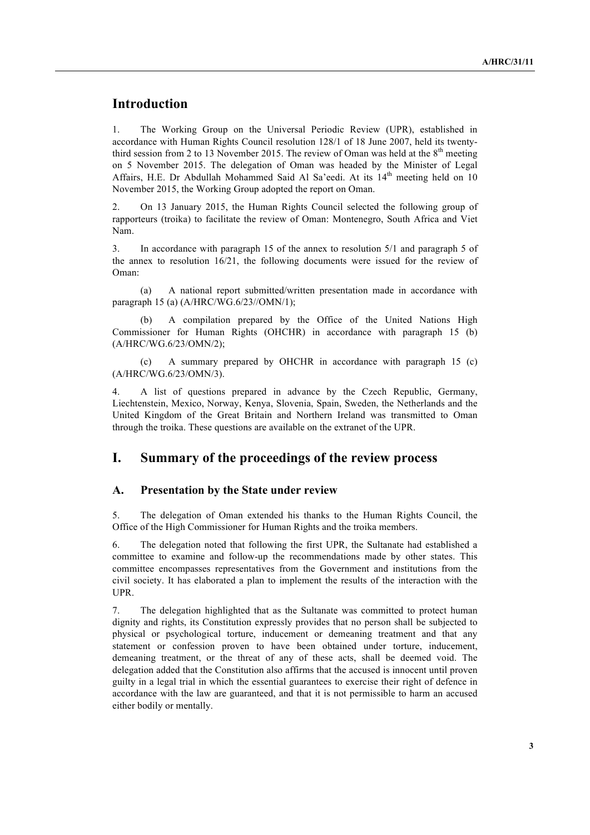# **Introduction**

1. The Working Group on the Universal Periodic Review (UPR), established in accordance with Human Rights Council resolution 128/1 of 18 June 2007, held its twentythird session from 2 to 13 November 2015. The review of Oman was held at the  $8<sup>th</sup>$  meeting on 5 November 2015. The delegation of Oman was headed by the Minister of Legal Affairs, H.E. Dr Abdullah Mohammed Said Al Sa'eedi. At its  $14<sup>th</sup>$  meeting held on 10 November 2015, the Working Group adopted the report on Oman.

2. On 13 January 2015, the Human Rights Council selected the following group of rapporteurs (troika) to facilitate the review of Oman: Montenegro, South Africa and Viet Nam.

3. In accordance with paragraph 15 of the annex to resolution 5/1 and paragraph 5 of the annex to resolution 16/21, the following documents were issued for the review of Oman:

(a) A national report submitted/written presentation made in accordance with paragraph 15 (a) (A/HRC/WG.6/23//OMN/1);

A compilation prepared by the Office of the United Nations High Commissioner for Human Rights (OHCHR) in accordance with paragraph 15 (b) (A/HRC/WG.6/23/OMN/2);

(c) A summary prepared by OHCHR in accordance with paragraph 15 (c) (A/HRC/WG.6/23/OMN/3).

4. A list of questions prepared in advance by the Czech Republic, Germany, Liechtenstein, Mexico, Norway, Kenya, Slovenia, Spain, Sweden, the Netherlands and the United Kingdom of the Great Britain and Northern Ireland was transmitted to Oman through the troika. These questions are available on the extranet of the UPR.

## **I. Summary of the proceedings of the review process**

#### **A. Presentation by the State under review**

5. The delegation of Oman extended his thanks to the Human Rights Council, the Office of the High Commissioner for Human Rights and the troika members.

6. The delegation noted that following the first UPR, the Sultanate had established a committee to examine and follow-up the recommendations made by other states. This committee encompasses representatives from the Government and institutions from the civil society. It has elaborated a plan to implement the results of the interaction with the UPR.

7. The delegation highlighted that as the Sultanate was committed to protect human dignity and rights, its Constitution expressly provides that no person shall be subjected to physical or psychological torture, inducement or demeaning treatment and that any statement or confession proven to have been obtained under torture, inducement, demeaning treatment, or the threat of any of these acts, shall be deemed void. The delegation added that the Constitution also affirms that the accused is innocent until proven guilty in a legal trial in which the essential guarantees to exercise their right of defence in accordance with the law are guaranteed, and that it is not permissible to harm an accused either bodily or mentally.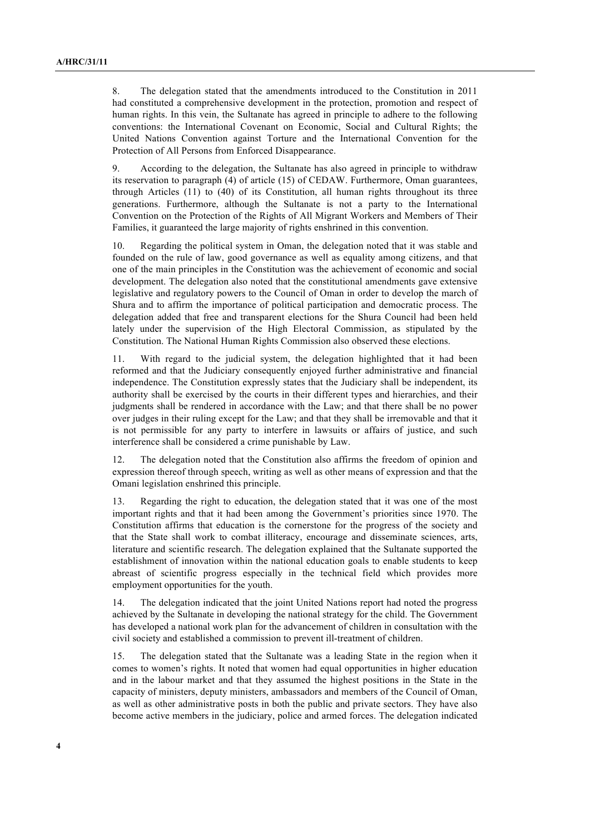8. The delegation stated that the amendments introduced to the Constitution in 2011 had constituted a comprehensive development in the protection, promotion and respect of human rights. In this vein, the Sultanate has agreed in principle to adhere to the following conventions: the International Covenant on Economic, Social and Cultural Rights; the United Nations Convention against Torture and the International Convention for the Protection of All Persons from Enforced Disappearance.

9. According to the delegation, the Sultanate has also agreed in principle to withdraw its reservation to paragraph (4) of article (15) of CEDAW. Furthermore, Oman guarantees, through Articles (11) to (40) of its Constitution, all human rights throughout its three generations. Furthermore, although the Sultanate is not a party to the International Convention on the Protection of the Rights of All Migrant Workers and Members of Their Families, it guaranteed the large majority of rights enshrined in this convention.

10. Regarding the political system in Oman, the delegation noted that it was stable and founded on the rule of law, good governance as well as equality among citizens, and that one of the main principles in the Constitution was the achievement of economic and social development. The delegation also noted that the constitutional amendments gave extensive legislative and regulatory powers to the Council of Oman in order to develop the march of Shura and to affirm the importance of political participation and democratic process. The delegation added that free and transparent elections for the Shura Council had been held lately under the supervision of the High Electoral Commission, as stipulated by the Constitution. The National Human Rights Commission also observed these elections.

11. With regard to the judicial system, the delegation highlighted that it had been reformed and that the Judiciary consequently enjoyed further administrative and financial independence. The Constitution expressly states that the Judiciary shall be independent, its authority shall be exercised by the courts in their different types and hierarchies, and their judgments shall be rendered in accordance with the Law; and that there shall be no power over judges in their ruling except for the Law; and that they shall be irremovable and that it is not permissible for any party to interfere in lawsuits or affairs of justice, and such interference shall be considered a crime punishable by Law.

12. The delegation noted that the Constitution also affirms the freedom of opinion and expression thereof through speech, writing as well as other means of expression and that the Omani legislation enshrined this principle.

13. Regarding the right to education, the delegation stated that it was one of the most important rights and that it had been among the Government's priorities since 1970. The Constitution affirms that education is the cornerstone for the progress of the society and that the State shall work to combat illiteracy, encourage and disseminate sciences, arts, literature and scientific research. The delegation explained that the Sultanate supported the establishment of innovation within the national education goals to enable students to keep abreast of scientific progress especially in the technical field which provides more employment opportunities for the youth.

14. The delegation indicated that the joint United Nations report had noted the progress achieved by the Sultanate in developing the national strategy for the child. The Government has developed a national work plan for the advancement of children in consultation with the civil society and established a commission to prevent ill-treatment of children.

15. The delegation stated that the Sultanate was a leading State in the region when it comes to women's rights. It noted that women had equal opportunities in higher education and in the labour market and that they assumed the highest positions in the State in the capacity of ministers, deputy ministers, ambassadors and members of the Council of Oman, as well as other administrative posts in both the public and private sectors. They have also become active members in the judiciary, police and armed forces. The delegation indicated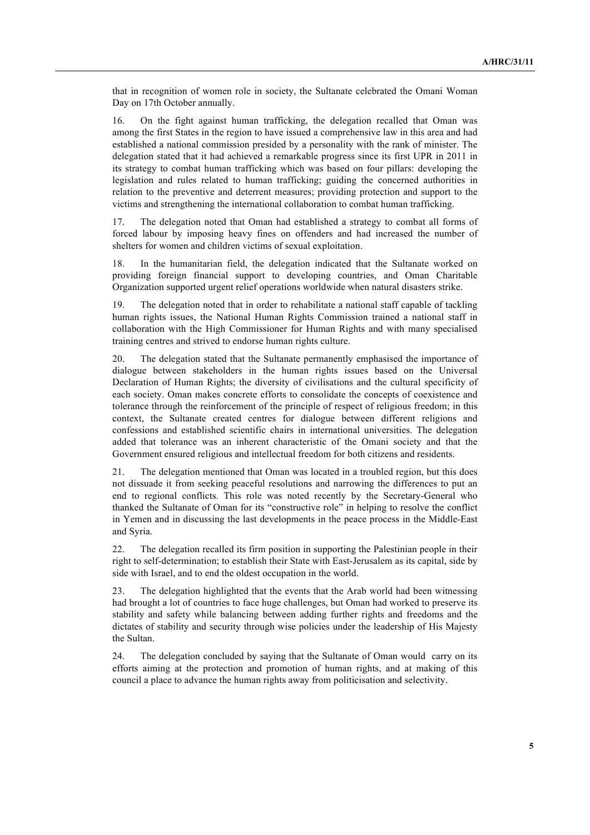that in recognition of women role in society, the Sultanate celebrated the Omani Woman Day on 17th October annually.

16. On the fight against human trafficking, the delegation recalled that Oman was among the first States in the region to have issued a comprehensive law in this area and had established a national commission presided by a personality with the rank of minister. The delegation stated that it had achieved a remarkable progress since its first UPR in 2011 in its strategy to combat human trafficking which was based on four pillars: developing the legislation and rules related to human trafficking; guiding the concerned authorities in relation to the preventive and deterrent measures; providing protection and support to the victims and strengthening the international collaboration to combat human trafficking.

17. The delegation noted that Oman had established a strategy to combat all forms of forced labour by imposing heavy fines on offenders and had increased the number of shelters for women and children victims of sexual exploitation.

18. In the humanitarian field, the delegation indicated that the Sultanate worked on providing foreign financial support to developing countries, and Oman Charitable Organization supported urgent relief operations worldwide when natural disasters strike.

19. The delegation noted that in order to rehabilitate a national staff capable of tackling human rights issues, the National Human Rights Commission trained a national staff in collaboration with the High Commissioner for Human Rights and with many specialised training centres and strived to endorse human rights culture.

20. The delegation stated that the Sultanate permanently emphasised the importance of dialogue between stakeholders in the human rights issues based on the Universal Declaration of Human Rights; the diversity of civilisations and the cultural specificity of each society. Oman makes concrete efforts to consolidate the concepts of coexistence and tolerance through the reinforcement of the principle of respect of religious freedom; in this context, the Sultanate created centres for dialogue between different religions and confessions and established scientific chairs in international universities. The delegation added that tolerance was an inherent characteristic of the Omani society and that the Government ensured religious and intellectual freedom for both citizens and residents.

21. The delegation mentioned that Oman was located in a troubled region, but this does not dissuade it from seeking peaceful resolutions and narrowing the differences to put an end to regional conflicts. This role was noted recently by the Secretary-General who thanked the Sultanate of Oman for its "constructive role" in helping to resolve the conflict in Yemen and in discussing the last developments in the peace process in the Middle-East and Syria.

22. The delegation recalled its firm position in supporting the Palestinian people in their right to self-determination; to establish their State with East-Jerusalem as its capital, side by side with Israel, and to end the oldest occupation in the world.

23. The delegation highlighted that the events that the Arab world had been witnessing had brought a lot of countries to face huge challenges, but Oman had worked to preserve its stability and safety while balancing between adding further rights and freedoms and the dictates of stability and security through wise policies under the leadership of His Majesty the Sultan.

24. The delegation concluded by saying that the Sultanate of Oman would carry on its efforts aiming at the protection and promotion of human rights, and at making of this council a place to advance the human rights away from politicisation and selectivity.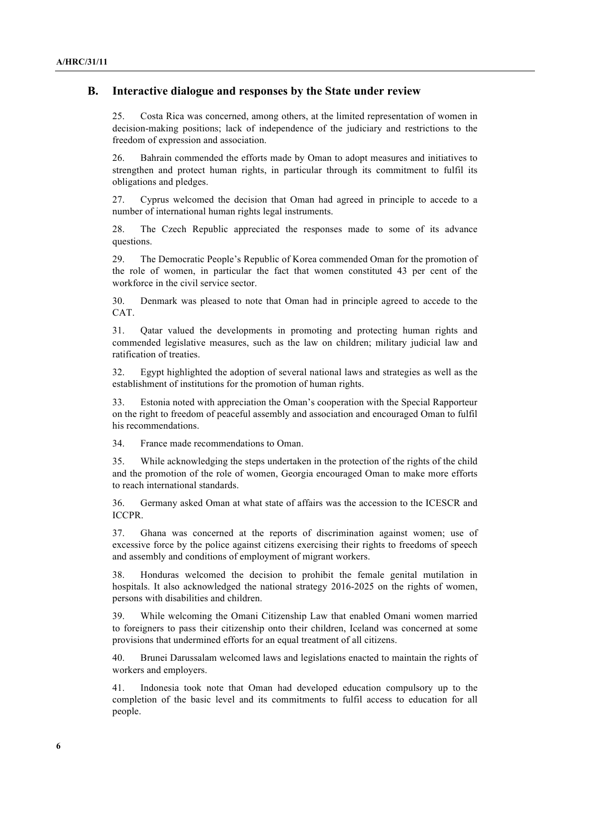## **B. Interactive dialogue and responses by the State under review**

25. Costa Rica was concerned, among others, at the limited representation of women in decision-making positions; lack of independence of the judiciary and restrictions to the freedom of expression and association.

26. Bahrain commended the efforts made by Oman to adopt measures and initiatives to strengthen and protect human rights, in particular through its commitment to fulfil its obligations and pledges.

27. Cyprus welcomed the decision that Oman had agreed in principle to accede to a number of international human rights legal instruments.

28. The Czech Republic appreciated the responses made to some of its advance questions.

29. The Democratic People's Republic of Korea commended Oman for the promotion of the role of women, in particular the fact that women constituted 43 per cent of the workforce in the civil service sector.

30. Denmark was pleased to note that Oman had in principle agreed to accede to the CAT.

31. Qatar valued the developments in promoting and protecting human rights and commended legislative measures, such as the law on children; military judicial law and ratification of treaties.

32. Egypt highlighted the adoption of several national laws and strategies as well as the establishment of institutions for the promotion of human rights.

33. Estonia noted with appreciation the Oman's cooperation with the Special Rapporteur on the right to freedom of peaceful assembly and association and encouraged Oman to fulfil his recommendations.

34. France made recommendations to Oman.

35. While acknowledging the steps undertaken in the protection of the rights of the child and the promotion of the role of women, Georgia encouraged Oman to make more efforts to reach international standards.

36. Germany asked Oman at what state of affairs was the accession to the ICESCR and ICCPR.

37. Ghana was concerned at the reports of discrimination against women; use of excessive force by the police against citizens exercising their rights to freedoms of speech and assembly and conditions of employment of migrant workers.

38. Honduras welcomed the decision to prohibit the female genital mutilation in hospitals. It also acknowledged the national strategy 2016-2025 on the rights of women, persons with disabilities and children.

39. While welcoming the Omani Citizenship Law that enabled Omani women married to foreigners to pass their citizenship onto their children, Iceland was concerned at some provisions that undermined efforts for an equal treatment of all citizens.

40. Brunei Darussalam welcomed laws and legislations enacted to maintain the rights of workers and employers.

41. Indonesia took note that Oman had developed education compulsory up to the completion of the basic level and its commitments to fulfil access to education for all people.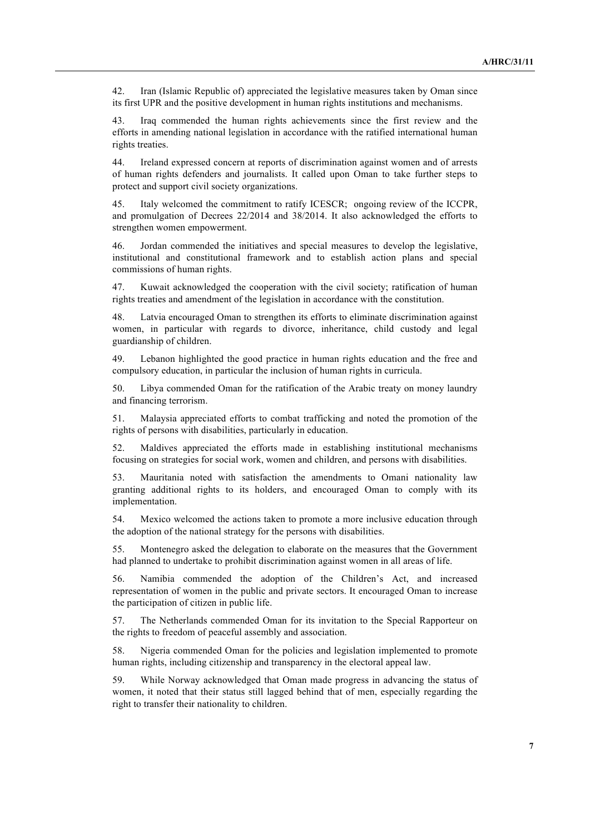42. Iran (Islamic Republic of) appreciated the legislative measures taken by Oman since its first UPR and the positive development in human rights institutions and mechanisms.

43. Iraq commended the human rights achievements since the first review and the efforts in amending national legislation in accordance with the ratified international human rights treaties.

44. Ireland expressed concern at reports of discrimination against women and of arrests of human rights defenders and journalists. It called upon Oman to take further steps to protect and support civil society organizations.

45. Italy welcomed the commitment to ratify ICESCR; ongoing review of the ICCPR, and promulgation of Decrees 22/2014 and 38/2014. It also acknowledged the efforts to strengthen women empowerment.

46. Jordan commended the initiatives and special measures to develop the legislative, institutional and constitutional framework and to establish action plans and special commissions of human rights.

47. Kuwait acknowledged the cooperation with the civil society; ratification of human rights treaties and amendment of the legislation in accordance with the constitution.

48. Latvia encouraged Oman to strengthen its efforts to eliminate discrimination against women, in particular with regards to divorce, inheritance, child custody and legal guardianship of children.

49. Lebanon highlighted the good practice in human rights education and the free and compulsory education, in particular the inclusion of human rights in curricula.

50. Libya commended Oman for the ratification of the Arabic treaty on money laundry and financing terrorism.

51. Malaysia appreciated efforts to combat trafficking and noted the promotion of the rights of persons with disabilities, particularly in education.

52. Maldives appreciated the efforts made in establishing institutional mechanisms focusing on strategies for social work, women and children, and persons with disabilities.

53. Mauritania noted with satisfaction the amendments to Omani nationality law granting additional rights to its holders, and encouraged Oman to comply with its implementation.

54. Mexico welcomed the actions taken to promote a more inclusive education through the adoption of the national strategy for the persons with disabilities.

55. Montenegro asked the delegation to elaborate on the measures that the Government had planned to undertake to prohibit discrimination against women in all areas of life.

56. Namibia commended the adoption of the Children's Act, and increased representation of women in the public and private sectors. It encouraged Oman to increase the participation of citizen in public life.

57. The Netherlands commended Oman for its invitation to the Special Rapporteur on the rights to freedom of peaceful assembly and association.

58. Nigeria commended Oman for the policies and legislation implemented to promote human rights, including citizenship and transparency in the electoral appeal law.

59. While Norway acknowledged that Oman made progress in advancing the status of women, it noted that their status still lagged behind that of men, especially regarding the right to transfer their nationality to children.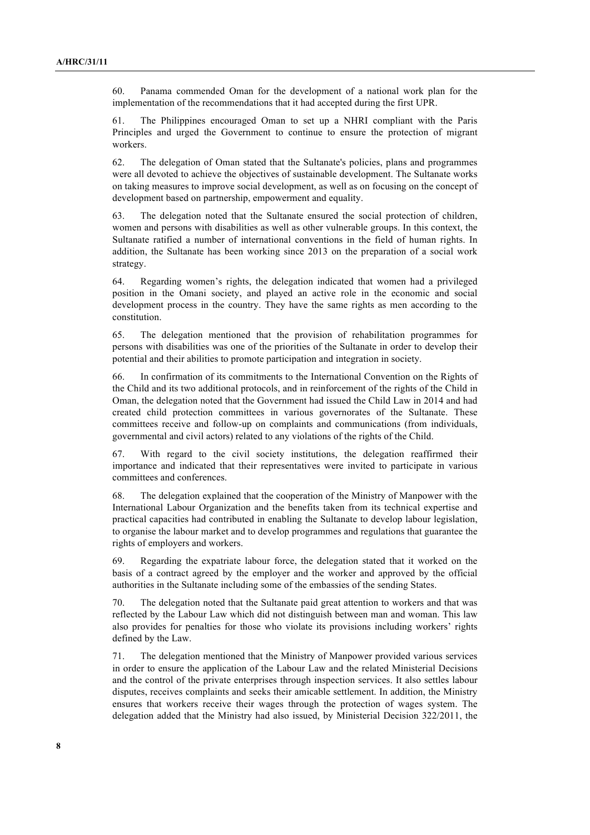60. Panama commended Oman for the development of a national work plan for the implementation of the recommendations that it had accepted during the first UPR.

61. The Philippines encouraged Oman to set up a NHRI compliant with the Paris Principles and urged the Government to continue to ensure the protection of migrant workers.

62. The delegation of Oman stated that the Sultanate's policies, plans and programmes were all devoted to achieve the objectives of sustainable development. The Sultanate works on taking measures to improve social development, as well as on focusing on the concept of development based on partnership, empowerment and equality.

63. The delegation noted that the Sultanate ensured the social protection of children, women and persons with disabilities as well as other vulnerable groups. In this context, the Sultanate ratified a number of international conventions in the field of human rights. In addition, the Sultanate has been working since 2013 on the preparation of a social work strategy.

64. Regarding women's rights, the delegation indicated that women had a privileged position in the Omani society, and played an active role in the economic and social development process in the country. They have the same rights as men according to the constitution.

65. The delegation mentioned that the provision of rehabilitation programmes for persons with disabilities was one of the priorities of the Sultanate in order to develop their potential and their abilities to promote participation and integration in society.

66. In confirmation of its commitments to the International Convention on the Rights of the Child and its two additional protocols, and in reinforcement of the rights of the Child in Oman, the delegation noted that the Government had issued the Child Law in 2014 and had created child protection committees in various governorates of the Sultanate. These committees receive and follow-up on complaints and communications (from individuals, governmental and civil actors) related to any violations of the rights of the Child.

67. With regard to the civil society institutions, the delegation reaffirmed their importance and indicated that their representatives were invited to participate in various committees and conferences.

68. The delegation explained that the cooperation of the Ministry of Manpower with the International Labour Organization and the benefits taken from its technical expertise and practical capacities had contributed in enabling the Sultanate to develop labour legislation, to organise the labour market and to develop programmes and regulations that guarantee the rights of employers and workers.

69. Regarding the expatriate labour force, the delegation stated that it worked on the basis of a contract agreed by the employer and the worker and approved by the official authorities in the Sultanate including some of the embassies of the sending States.

70. The delegation noted that the Sultanate paid great attention to workers and that was reflected by the Labour Law which did not distinguish between man and woman. This law also provides for penalties for those who violate its provisions including workers' rights defined by the Law.

71. The delegation mentioned that the Ministry of Manpower provided various services in order to ensure the application of the Labour Law and the related Ministerial Decisions and the control of the private enterprises through inspection services. It also settles labour disputes, receives complaints and seeks their amicable settlement. In addition, the Ministry ensures that workers receive their wages through the protection of wages system. The delegation added that the Ministry had also issued, by Ministerial Decision 322/2011, the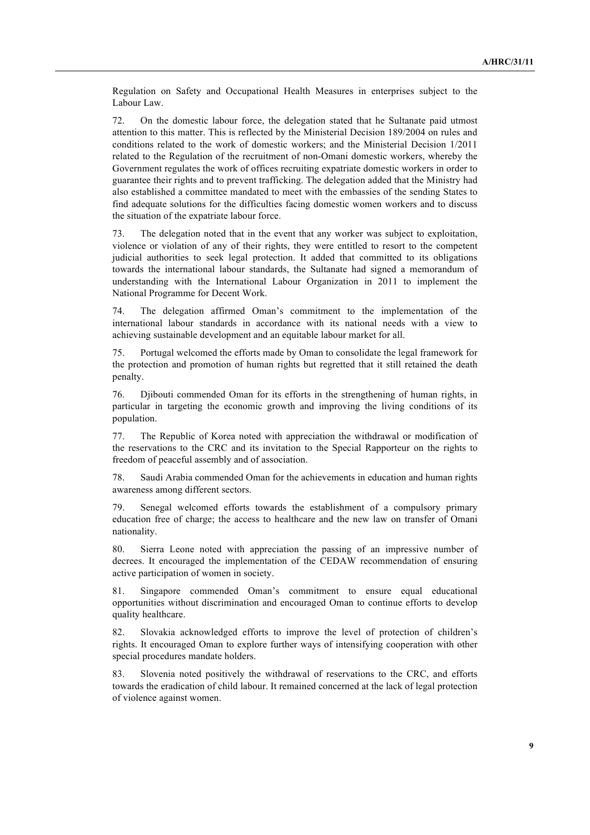Regulation on Safety and Occupational Health Measures in enterprises subject to the Labour Law.

72. On the domestic labour force, the delegation stated that he Sultanate paid utmost attention to this matter. This is reflected by the Ministerial Decision 189/2004 on rules and conditions related to the work of domestic workers; and the Ministerial Decision 1/2011 related to the Regulation of the recruitment of non-Omani domestic workers, whereby the Government regulates the work of offices recruiting expatriate domestic workers in order to guarantee their rights and to prevent trafficking. The delegation added that the Ministry had also established a committee mandated to meet with the embassies of the sending States to find adequate solutions for the difficulties facing domestic women workers and to discuss the situation of the expatriate labour force.

73. The delegation noted that in the event that any worker was subject to exploitation, violence or violation of any of their rights, they were entitled to resort to the competent judicial authorities to seek legal protection. It added that committed to its obligations towards the international labour standards, the Sultanate had signed a memorandum of understanding with the International Labour Organization in 2011 to implement the National Programme for Decent Work.

74. The delegation affirmed Oman's commitment to the implementation of the international labour standards in accordance with its national needs with a view to achieving sustainable development and an equitable labour market for all.

75. Portugal welcomed the efforts made by Oman to consolidate the legal framework for the protection and promotion of human rights but regretted that it still retained the death penalty.

76. Djibouti commended Oman for its efforts in the strengthening of human rights, in particular in targeting the economic growth and improving the living conditions of its population.

77. The Republic of Korea noted with appreciation the withdrawal or modification of the reservations to the CRC and its invitation to the Special Rapporteur on the rights to freedom of peaceful assembly and of association.

78. Saudi Arabia commended Oman for the achievements in education and human rights awareness among different sectors.

79. Senegal welcomed efforts towards the establishment of a compulsory primary education free of charge; the access to healthcare and the new law on transfer of Omani nationality.

80. Sierra Leone noted with appreciation the passing of an impressive number of decrees. It encouraged the implementation of the CEDAW recommendation of ensuring active participation of women in society.

81. Singapore commended Oman's commitment to ensure equal educational opportunities without discrimination and encouraged Oman to continue efforts to develop quality healthcare.

82. Slovakia acknowledged efforts to improve the level of protection of children's rights. It encouraged Oman to explore further ways of intensifying cooperation with other special procedures mandate holders.

83. Slovenia noted positively the withdrawal of reservations to the CRC, and efforts towards the eradication of child labour. It remained concerned at the lack of legal protection of violence against women.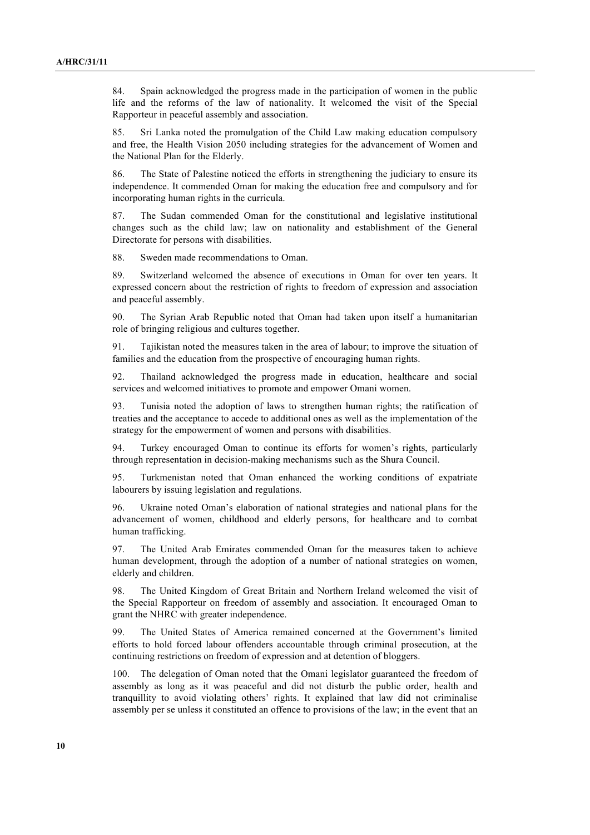84. Spain acknowledged the progress made in the participation of women in the public life and the reforms of the law of nationality. It welcomed the visit of the Special Rapporteur in peaceful assembly and association.

85. Sri Lanka noted the promulgation of the Child Law making education compulsory and free, the Health Vision 2050 including strategies for the advancement of Women and the National Plan for the Elderly.

86. The State of Palestine noticed the efforts in strengthening the judiciary to ensure its independence. It commended Oman for making the education free and compulsory and for incorporating human rights in the curricula.

87. The Sudan commended Oman for the constitutional and legislative institutional changes such as the child law; law on nationality and establishment of the General Directorate for persons with disabilities.

88. Sweden made recommendations to Oman.

89. Switzerland welcomed the absence of executions in Oman for over ten years. It expressed concern about the restriction of rights to freedom of expression and association and peaceful assembly.

90. The Syrian Arab Republic noted that Oman had taken upon itself a humanitarian role of bringing religious and cultures together.

91. Tajikistan noted the measures taken in the area of labour; to improve the situation of families and the education from the prospective of encouraging human rights.

92. Thailand acknowledged the progress made in education, healthcare and social services and welcomed initiatives to promote and empower Omani women.

93. Tunisia noted the adoption of laws to strengthen human rights; the ratification of treaties and the acceptance to accede to additional ones as well as the implementation of the strategy for the empowerment of women and persons with disabilities.

94. Turkey encouraged Oman to continue its efforts for women's rights, particularly through representation in decision-making mechanisms such as the Shura Council.

95. Turkmenistan noted that Oman enhanced the working conditions of expatriate labourers by issuing legislation and regulations.

96. Ukraine noted Oman's elaboration of national strategies and national plans for the advancement of women, childhood and elderly persons, for healthcare and to combat human trafficking.

97. The United Arab Emirates commended Oman for the measures taken to achieve human development, through the adoption of a number of national strategies on women, elderly and children.

98. The United Kingdom of Great Britain and Northern Ireland welcomed the visit of the Special Rapporteur on freedom of assembly and association. It encouraged Oman to grant the NHRC with greater independence.

99. The United States of America remained concerned at the Government's limited efforts to hold forced labour offenders accountable through criminal prosecution, at the continuing restrictions on freedom of expression and at detention of bloggers.

100. The delegation of Oman noted that the Omani legislator guaranteed the freedom of assembly as long as it was peaceful and did not disturb the public order, health and tranquillity to avoid violating others' rights. It explained that law did not criminalise assembly per se unless it constituted an offence to provisions of the law; in the event that an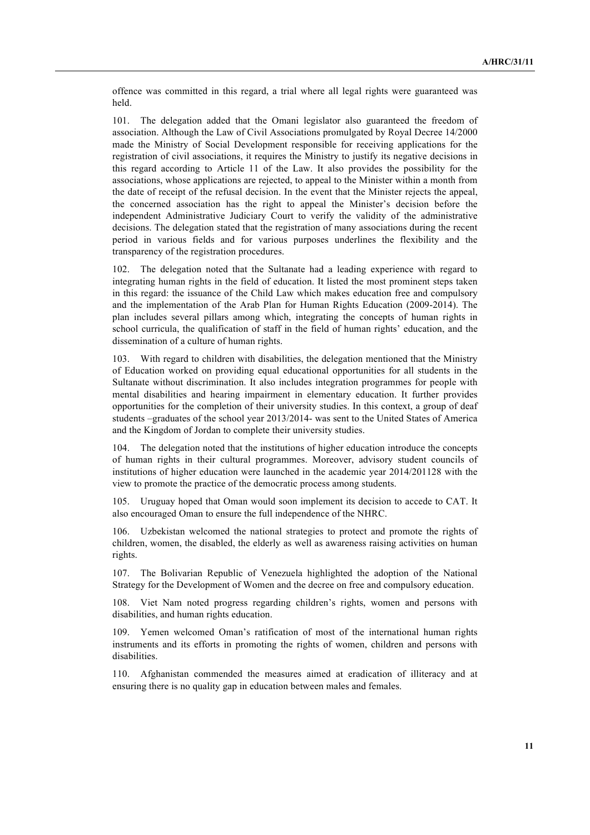offence was committed in this regard, a trial where all legal rights were guaranteed was held.

101. The delegation added that the Omani legislator also guaranteed the freedom of association. Although the Law of Civil Associations promulgated by Royal Decree 14/2000 made the Ministry of Social Development responsible for receiving applications for the registration of civil associations, it requires the Ministry to justify its negative decisions in this regard according to Article 11 of the Law. It also provides the possibility for the associations, whose applications are rejected, to appeal to the Minister within a month from the date of receipt of the refusal decision. In the event that the Minister rejects the appeal, the concerned association has the right to appeal the Minister's decision before the independent Administrative Judiciary Court to verify the validity of the administrative decisions. The delegation stated that the registration of many associations during the recent period in various fields and for various purposes underlines the flexibility and the transparency of the registration procedures.

102. The delegation noted that the Sultanate had a leading experience with regard to integrating human rights in the field of education. It listed the most prominent steps taken in this regard: the issuance of the Child Law which makes education free and compulsory and the implementation of the Arab Plan for Human Rights Education (2009-2014). The plan includes several pillars among which, integrating the concepts of human rights in school curricula, the qualification of staff in the field of human rights' education, and the dissemination of a culture of human rights.

103. With regard to children with disabilities, the delegation mentioned that the Ministry of Education worked on providing equal educational opportunities for all students in the Sultanate without discrimination. It also includes integration programmes for people with mental disabilities and hearing impairment in elementary education. It further provides opportunities for the completion of their university studies. In this context, a group of deaf students –graduates of the school year 2013/2014- was sent to the United States of America and the Kingdom of Jordan to complete their university studies.

104. The delegation noted that the institutions of higher education introduce the concepts of human rights in their cultural programmes. Moreover, advisory student councils of institutions of higher education were launched in the academic year 2014/201128 with the view to promote the practice of the democratic process among students.

105. Uruguay hoped that Oman would soon implement its decision to accede to CAT. It also encouraged Oman to ensure the full independence of the NHRC.

106. Uzbekistan welcomed the national strategies to protect and promote the rights of children, women, the disabled, the elderly as well as awareness raising activities on human rights.

107. The Bolivarian Republic of Venezuela highlighted the adoption of the National Strategy for the Development of Women and the decree on free and compulsory education.

108. Viet Nam noted progress regarding children's rights, women and persons with disabilities, and human rights education.

109. Yemen welcomed Oman's ratification of most of the international human rights instruments and its efforts in promoting the rights of women, children and persons with disabilities.

110. Afghanistan commended the measures aimed at eradication of illiteracy and at ensuring there is no quality gap in education between males and females.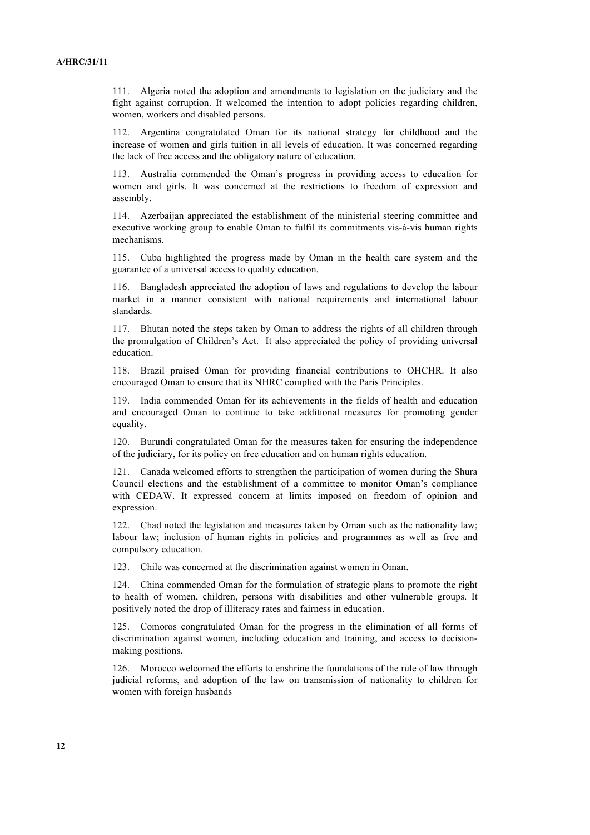111. Algeria noted the adoption and amendments to legislation on the judiciary and the fight against corruption. It welcomed the intention to adopt policies regarding children, women, workers and disabled persons.

112. Argentina congratulated Oman for its national strategy for childhood and the increase of women and girls tuition in all levels of education. It was concerned regarding the lack of free access and the obligatory nature of education.

113. Australia commended the Oman's progress in providing access to education for women and girls. It was concerned at the restrictions to freedom of expression and assembly.

114. Azerbaijan appreciated the establishment of the ministerial steering committee and executive working group to enable Oman to fulfil its commitments vis-à-vis human rights mechanisms.

115. Cuba highlighted the progress made by Oman in the health care system and the guarantee of a universal access to quality education.

116. Bangladesh appreciated the adoption of laws and regulations to develop the labour market in a manner consistent with national requirements and international labour standards.

117. Bhutan noted the steps taken by Oman to address the rights of all children through the promulgation of Children's Act. It also appreciated the policy of providing universal education.

118. Brazil praised Oman for providing financial contributions to OHCHR. It also encouraged Oman to ensure that its NHRC complied with the Paris Principles.

119. India commended Oman for its achievements in the fields of health and education and encouraged Oman to continue to take additional measures for promoting gender equality.

120. Burundi congratulated Oman for the measures taken for ensuring the independence of the judiciary, for its policy on free education and on human rights education.

121. Canada welcomed efforts to strengthen the participation of women during the Shura Council elections and the establishment of a committee to monitor Oman's compliance with CEDAW. It expressed concern at limits imposed on freedom of opinion and expression.

122. Chad noted the legislation and measures taken by Oman such as the nationality law; labour law; inclusion of human rights in policies and programmes as well as free and compulsory education.

123. Chile was concerned at the discrimination against women in Oman.

124. China commended Oman for the formulation of strategic plans to promote the right to health of women, children, persons with disabilities and other vulnerable groups. It positively noted the drop of illiteracy rates and fairness in education.

125. Comoros congratulated Oman for the progress in the elimination of all forms of discrimination against women, including education and training, and access to decisionmaking positions.

126. Morocco welcomed the efforts to enshrine the foundations of the rule of law through judicial reforms, and adoption of the law on transmission of nationality to children for women with foreign husbands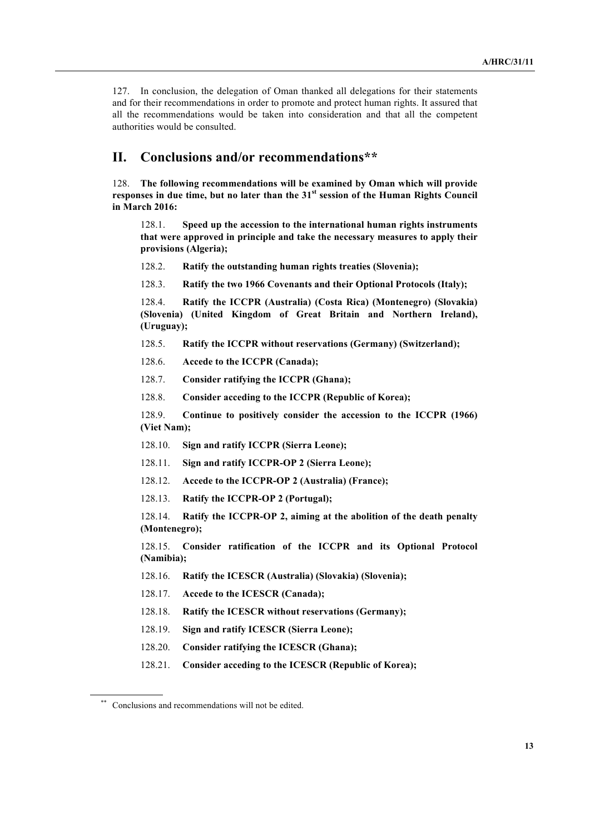127. In conclusion, the delegation of Oman thanked all delegations for their statements and for their recommendations in order to promote and protect human rights. It assured that all the recommendations would be taken into consideration and that all the competent authorities would be consulted.

## **II. Conclusions and/or recommendations\*\***

128. **The following recommendations will be examined by Oman which will provide responses in due time, but no later than the 31st session of the Human Rights Council in March 2016:**

128.1. **Speed up the accession to the international human rights instruments that were approved in principle and take the necessary measures to apply their provisions (Algeria);**

- 128.2. **Ratify the outstanding human rights treaties (Slovenia);**
- 128.3. **Ratify the two 1966 Covenants and their Optional Protocols (Italy);**

128.4. **Ratify the ICCPR (Australia) (Costa Rica) (Montenegro) (Slovakia) (Slovenia) (United Kingdom of Great Britain and Northern Ireland), (Uruguay);**

- 128.5. **Ratify the ICCPR without reservations (Germany) (Switzerland);**
- 128.6. **Accede to the ICCPR (Canada);**
- 128.7. **Consider ratifying the ICCPR (Ghana);**
- 128.8. **Consider acceding to the ICCPR (Republic of Korea);**

128.9. **Continue to positively consider the accession to the ICCPR (1966) (Viet Nam);**

- 128.10. **Sign and ratify ICCPR (Sierra Leone);**
- 128.11. **Sign and ratify ICCPR-OP 2 (Sierra Leone);**
- 128.12. **Accede to the ICCPR-OP 2 (Australia) (France);**
- 128.13. **Ratify the ICCPR-OP 2 (Portugal);**

128.14. **Ratify the ICCPR-OP 2, aiming at the abolition of the death penalty (Montenegro);**

128.15. **Consider ratification of the ICCPR and its Optional Protocol (Namibia);**

- 128.16. **Ratify the ICESCR (Australia) (Slovakia) (Slovenia);**
- 128.17. **Accede to the ICESCR (Canada);**
- 128.18. **Ratify the ICESCR without reservations (Germany);**
- 128.19. **Sign and ratify ICESCR (Sierra Leone);**
- 128.20. **Consider ratifying the ICESCR (Ghana);**
- 128.21. **Consider acceding to the ICESCR (Republic of Korea);**

<sup>\*\*</sup> Conclusions and recommendations will not be edited.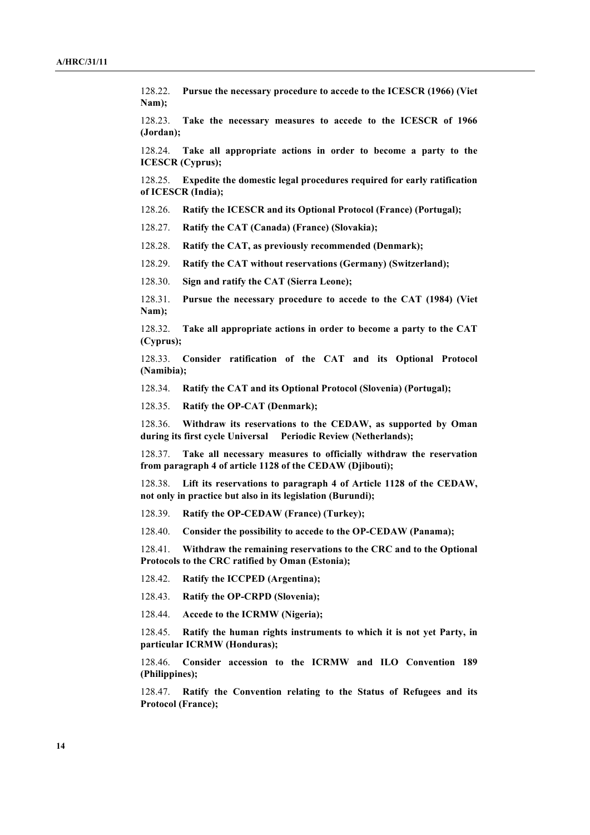128.22. **Pursue the necessary procedure to accede to the ICESCR (1966) (Viet Nam);**

128.23. **Take the necessary measures to accede to the ICESCR of 1966 (Jordan);**

128.24. **Take all appropriate actions in order to become a party to the ICESCR (Cyprus);**

128.25. **Expedite the domestic legal procedures required for early ratification of ICESCR (India);**

128.26. **Ratify the ICESCR and its Optional Protocol (France) (Portugal);**

128.27. **Ratify the CAT (Canada) (France) (Slovakia);**

128.28. **Ratify the CAT, as previously recommended (Denmark);**

128.29. **Ratify the CAT without reservations (Germany) (Switzerland);**

128.30. **Sign and ratify the CAT (Sierra Leone);**

128.31. **Pursue the necessary procedure to accede to the CAT (1984) (Viet Nam);**

128.32. **Take all appropriate actions in order to become a party to the CAT (Cyprus);**

128.33. **Consider ratification of the CAT and its Optional Protocol (Namibia);**

128.34. **Ratify the CAT and its Optional Protocol (Slovenia) (Portugal);**

128.35. **Ratify the OP-CAT (Denmark);**

128.36. **Withdraw its reservations to the CEDAW, as supported by Oman during its first cycle Universal Periodic Review (Netherlands);**

128.37. **Take all necessary measures to officially withdraw the reservation from paragraph 4 of article 1128 of the CEDAW (Djibouti);**

128.38. **Lift its reservations to paragraph 4 of Article 1128 of the CEDAW, not only in practice but also in its legislation (Burundi);**

128.39. **Ratify the OP-CEDAW (France) (Turkey);**

128.40. **Consider the possibility to accede to the OP-CEDAW (Panama);**

128.41. **Withdraw the remaining reservations to the CRC and to the Optional Protocols to the CRC ratified by Oman (Estonia);**

128.42. **Ratify the ICCPED (Argentina);**

128.43. **Ratify the OP-CRPD (Slovenia);**

128.44. **Accede to the ICRMW (Nigeria);**

128.45. **Ratify the human rights instruments to which it is not yet Party, in particular ICRMW (Honduras);**

128.46. **Consider accession to the ICRMW and ILO Convention 189 (Philippines);**

128.47. **Ratify the Convention relating to the Status of Refugees and its Protocol (France);**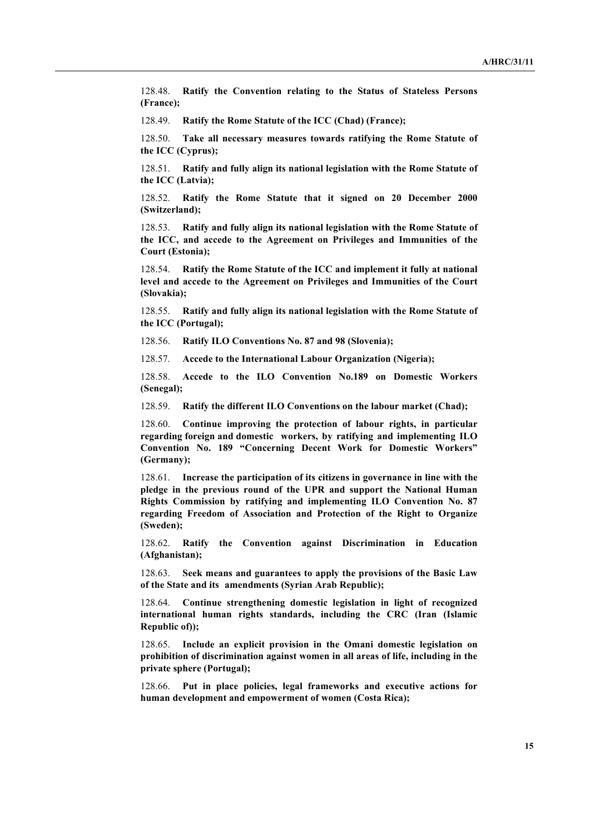128.48. **Ratify the Convention relating to the Status of Stateless Persons (France);**

128.49. **Ratify the Rome Statute of the ICC (Chad) (France);**

128.50. **Take all necessary measures towards ratifying the Rome Statute of the ICC (Cyprus);**

128.51. **Ratify and fully align its national legislation with the Rome Statute of the ICC (Latvia);**

128.52. **Ratify the Rome Statute that it signed on 20 December 2000 (Switzerland);**

128.53. **Ratify and fully align its national legislation with the Rome Statute of the ICC, and accede to the Agreement on Privileges and Immunities of the Court (Estonia);**

128.54. **Ratify the Rome Statute of the ICC and implement it fully at national level and accede to the Agreement on Privileges and Immunities of the Court (Slovakia);**

128.55. **Ratify and fully align its national legislation with the Rome Statute of the ICC (Portugal);**

128.56. **Ratify ILO Conventions No. 87 and 98 (Slovenia);**

128.57. **Accede to the International Labour Organization (Nigeria);**

128.58. **Accede to the ILO Convention No.189 on Domestic Workers (Senegal);**

128.59. **Ratify the different ILO Conventions on the labour market (Chad);**

128.60. **Continue improving the protection of labour rights, in particular regarding foreign and domestic workers, by ratifying and implementing ILO Convention No. 189 "Concerning Decent Work for Domestic Workers" (Germany);**

128.61. **Increase the participation of its citizens in governance in line with the pledge in the previous round of the UPR and support the National Human Rights Commission by ratifying and implementing ILO Convention No. 87 regarding Freedom of Association and Protection of the Right to Organize (Sweden);**

128.62. **Ratify the Convention against Discrimination in Education (Afghanistan);**

128.63. **Seek means and guarantees to apply the provisions of the Basic Law of the State and its amendments (Syrian Arab Republic);**

128.64. **Continue strengthening domestic legislation in light of recognized international human rights standards, including the CRC (Iran (Islamic Republic of));**

128.65. **Include an explicit provision in the Omani domestic legislation on prohibition of discrimination against women in all areas of life, including in the private sphere (Portugal);**

128.66. **Put in place policies, legal frameworks and executive actions for human development and empowerment of women (Costa Rica);**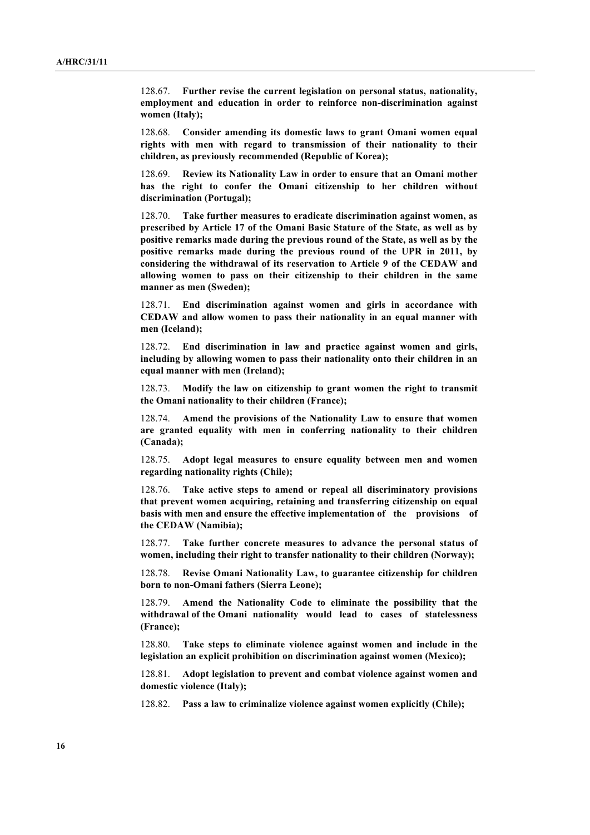128.67. **Further revise the current legislation on personal status, nationality, employment and education in order to reinforce non-discrimination against women (Italy);**

128.68. **Consider amending its domestic laws to grant Omani women equal rights with men with regard to transmission of their nationality to their children, as previously recommended (Republic of Korea);**

128.69. **Review its Nationality Law in order to ensure that an Omani mother has the right to confer the Omani citizenship to her children without discrimination (Portugal);**

128.70. **Take further measures to eradicate discrimination against women, as prescribed by Article 17 of the Omani Basic Stature of the State, as well as by positive remarks made during the previous round of the State, as well as by the positive remarks made during the previous round of the UPR in 2011, by considering the withdrawal of its reservation to Article 9 of the CEDAW and allowing women to pass on their citizenship to their children in the same manner as men (Sweden);**

128.71. **End discrimination against women and girls in accordance with CEDAW and allow women to pass their nationality in an equal manner with men (Iceland);**

128.72. **End discrimination in law and practice against women and girls, including by allowing women to pass their nationality onto their children in an equal manner with men (Ireland);**

128.73. **Modify the law on citizenship to grant women the right to transmit the Omani nationality to their children (France);**

128.74. **Amend the provisions of the Nationality Law to ensure that women are granted equality with men in conferring nationality to their children (Canada);**

128.75. **Adopt legal measures to ensure equality between men and women regarding nationality rights (Chile);**

128.76. **Take active steps to amend or repeal all discriminatory provisions that prevent women acquiring, retaining and transferring citizenship on equal basis with men and ensure the effective implementation of the provisions of the CEDAW (Namibia);**

128.77. **Take further concrete measures to advance the personal status of women, including their right to transfer nationality to their children (Norway);**

128.78. **Revise Omani Nationality Law, to guarantee citizenship for children born to non-Omani fathers (Sierra Leone);**

128.79. **Amend the Nationality Code to eliminate the possibility that the withdrawal of the Omani nationality would lead to cases of statelessness (France);**

128.80. **Take steps to eliminate violence against women and include in the legislation an explicit prohibition on discrimination against women (Mexico);**

128.81. **Adopt legislation to prevent and combat violence against women and domestic violence (Italy);**

128.82. **Pass a law to criminalize violence against women explicitly (Chile);**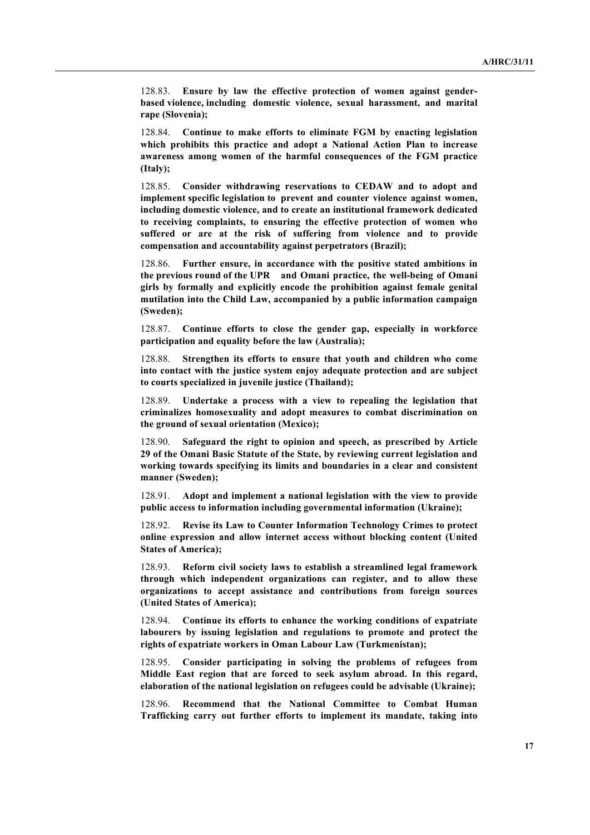128.83. **Ensure by law the effective protection of women against genderbased violence, including domestic violence, sexual harassment, and marital rape (Slovenia);**

128.84. **Continue to make efforts to eliminate FGM by enacting legislation which prohibits this practice and adopt a National Action Plan to increase awareness among women of the harmful consequences of the FGM practice (Italy);**

128.85. **Consider withdrawing reservations to CEDAW and to adopt and implement specific legislation to prevent and counter violence against women, including domestic violence, and to create an institutional framework dedicated to receiving complaints, to ensuring the effective protection of women who suffered or are at the risk of suffering from violence and to provide compensation and accountability against perpetrators (Brazil);**

128.86. **Further ensure, in accordance with the positive stated ambitions in the previous round of the UPR and Omani practice, the well-being of Omani girls by formally and explicitly encode the prohibition against female genital mutilation into the Child Law, accompanied by a public information campaign (Sweden);**

128.87. **Continue efforts to close the gender gap, especially in workforce participation and equality before the law (Australia);**

128.88. **Strengthen its efforts to ensure that youth and children who come into contact with the justice system enjoy adequate protection and are subject to courts specialized in juvenile justice (Thailand);**

128.89. **Undertake a process with a view to repealing the legislation that criminalizes homosexuality and adopt measures to combat discrimination on the ground of sexual orientation (Mexico);**

128.90. **Safeguard the right to opinion and speech, as prescribed by Article 29 of the Omani Basic Statute of the State, by reviewing current legislation and working towards specifying its limits and boundaries in a clear and consistent manner (Sweden);**

128.91. **Adopt and implement a national legislation with the view to provide public access to information including governmental information (Ukraine);**

128.92. **Revise its Law to Counter Information Technology Crimes to protect online expression and allow internet access without blocking content (United States of America);**

128.93. **Reform civil society laws to establish a streamlined legal framework through which independent organizations can register, and to allow these organizations to accept assistance and contributions from foreign sources (United States of America);**

128.94. **Continue its efforts to enhance the working conditions of expatriate labourers by issuing legislation and regulations to promote and protect the rights of expatriate workers in Oman Labour Law (Turkmenistan);**

128.95. **Consider participating in solving the problems of refugees from Middle East region that are forced to seek asylum abroad. In this regard, elaboration of the national legislation on refugees could be advisable (Ukraine);**

Recommend that the National Committee to Combat Human **Trafficking carry out further efforts to implement its mandate, taking into**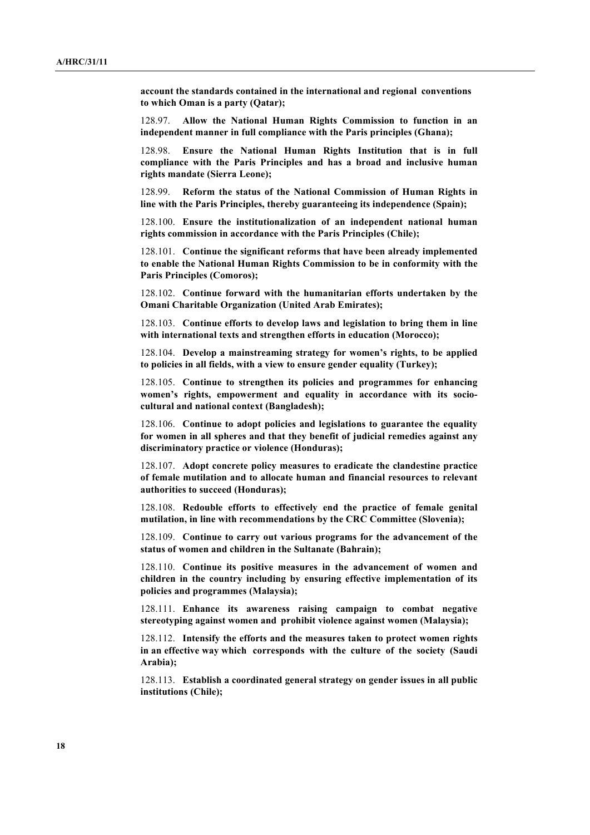**account the standards contained in the international and regional conventions to which Oman is a party (Qatar);**

128.97. **Allow the National Human Rights Commission to function in an independent manner in full compliance with the Paris principles (Ghana);**

128.98. **Ensure the National Human Rights Institution that is in full compliance with the Paris Principles and has a broad and inclusive human rights mandate (Sierra Leone);**

128.99. **Reform the status of the National Commission of Human Rights in line with the Paris Principles, thereby guaranteeing its independence (Spain);**

128.100. **Ensure the institutionalization of an independent national human rights commission in accordance with the Paris Principles (Chile);**

128.101. **Continue the significant reforms that have been already implemented to enable the National Human Rights Commission to be in conformity with the Paris Principles (Comoros);**

128.102. **Continue forward with the humanitarian efforts undertaken by the Omani Charitable Organization (United Arab Emirates);**

128.103. **Continue efforts to develop laws and legislation to bring them in line with international texts and strengthen efforts in education (Morocco);**

128.104. **Develop a mainstreaming strategy for women's rights, to be applied to policies in all fields, with a view to ensure gender equality (Turkey);**

128.105. **Continue to strengthen its policies and programmes for enhancing women's rights, empowerment and equality in accordance with its sociocultural and national context (Bangladesh);**

128.106. **Continue to adopt policies and legislations to guarantee the equality for women in all spheres and that they benefit of judicial remedies against any discriminatory practice or violence (Honduras);**

128.107. **Adopt concrete policy measures to eradicate the clandestine practice of female mutilation and to allocate human and financial resources to relevant authorities to succeed (Honduras);**

128.108. **Redouble efforts to effectively end the practice of female genital mutilation, in line with recommendations by the CRC Committee (Slovenia);**

128.109. **Continue to carry out various programs for the advancement of the status of women and children in the Sultanate (Bahrain);**

128.110. **Continue its positive measures in the advancement of women and children in the country including by ensuring effective implementation of its policies and programmes (Malaysia);**

128.111. **Enhance its awareness raising campaign to combat negative stereotyping against women and prohibit violence against women (Malaysia);**

128.112. **Intensify the efforts and the measures taken to protect women rights in an effective way which corresponds with the culture of the society (Saudi Arabia);**

128.113. **Establish a coordinated general strategy on gender issues in all public institutions (Chile);**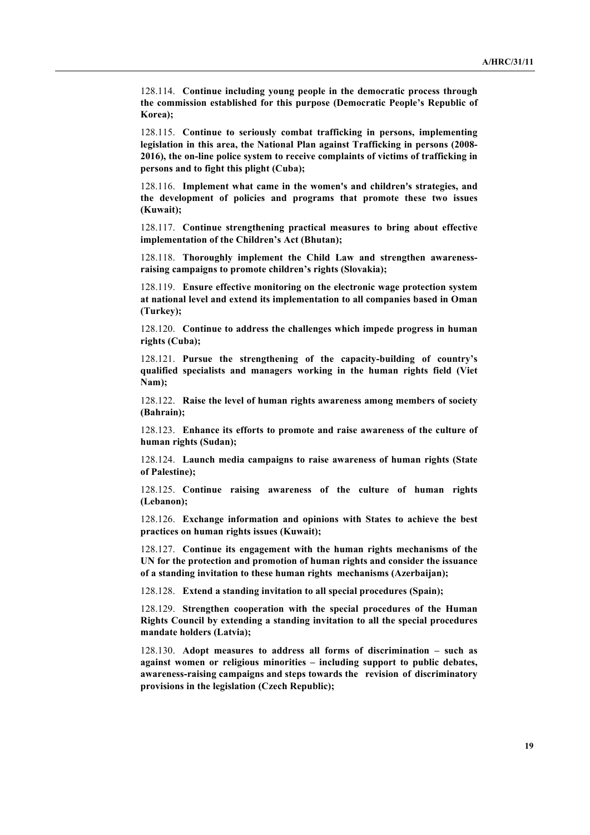128.114. **Continue including young people in the democratic process through the commission established for this purpose (Democratic People's Republic of Korea);**

128.115. **Continue to seriously combat trafficking in persons, implementing legislation in this area, the National Plan against Trafficking in persons (2008- 2016), the on-line police system to receive complaints of victims of trafficking in persons and to fight this plight (Cuba);**

128.116. **Implement what came in the women's and children's strategies, and the development of policies and programs that promote these two issues (Kuwait);**

128.117. **Continue strengthening practical measures to bring about effective implementation of the Children's Act (Bhutan);**

128.118. **Thoroughly implement the Child Law and strengthen awarenessraising campaigns to promote children's rights (Slovakia);**

128.119. **Ensure effective monitoring on the electronic wage protection system at national level and extend its implementation to all companies based in Oman (Turkey);**

128.120. **Continue to address the challenges which impede progress in human rights (Cuba);**

128.121. **Pursue the strengthening of the capacity-building of country's qualified specialists and managers working in the human rights field (Viet Nam);**

128.122. **Raise the level of human rights awareness among members of society (Bahrain);**

128.123. **Enhance its efforts to promote and raise awareness of the culture of human rights (Sudan);**

128.124. **Launch media campaigns to raise awareness of human rights (State of Palestine);**

128.125. **Continue raising awareness of the culture of human rights (Lebanon);**

128.126. **Exchange information and opinions with States to achieve the best practices on human rights issues (Kuwait);**

128.127. **Continue its engagement with the human rights mechanisms of the UN for the protection and promotion of human rights and consider the issuance of a standing invitation to these human rights mechanisms (Azerbaijan);**

128.128. **Extend a standing invitation to all special procedures (Spain);**

128.129. **Strengthen cooperation with the special procedures of the Human Rights Council by extending a standing invitation to all the special procedures mandate holders (Latvia);**

128.130. **Adopt measures to address all forms of discrimination – such as against women or religious minorities – including support to public debates, awareness-raising campaigns and steps towards the revision of discriminatory provisions in the legislation (Czech Republic);**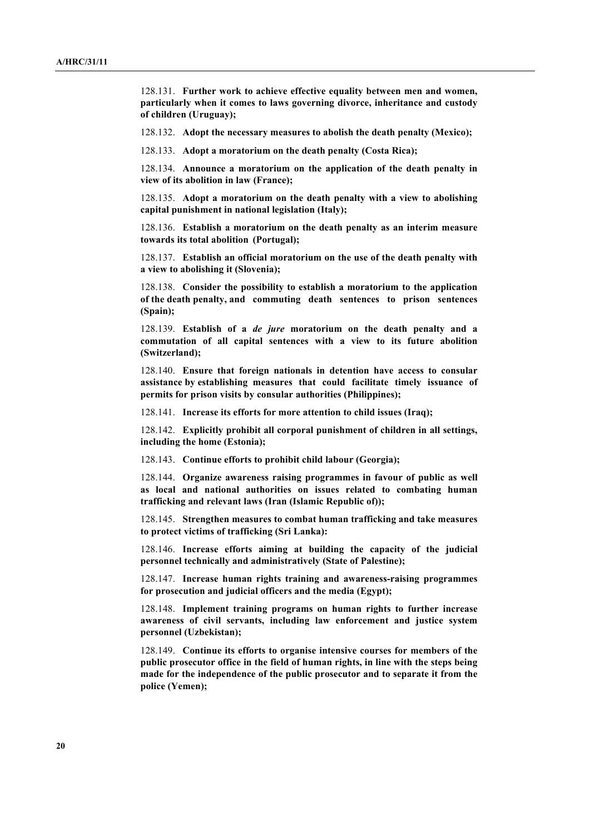128.131. **Further work to achieve effective equality between men and women, particularly when it comes to laws governing divorce, inheritance and custody of children (Uruguay);**

128.132. **Adopt the necessary measures to abolish the death penalty (Mexico);**

128.133. **Adopt a moratorium on the death penalty (Costa Rica);**

128.134. **Announce a moratorium on the application of the death penalty in view of its abolition in law (France);**

128.135. **Adopt a moratorium on the death penalty with a view to abolishing capital punishment in national legislation (Italy);**

128.136. **Establish a moratorium on the death penalty as an interim measure towards its total abolition (Portugal);**

128.137. **Establish an official moratorium on the use of the death penalty with a view to abolishing it (Slovenia);**

128.138. **Consider the possibility to establish a moratorium to the application of the death penalty, and commuting death sentences to prison sentences (Spain);**

128.139. **Establish of a** *de jure* **moratorium on the death penalty and a commutation of all capital sentences with a view to its future abolition (Switzerland);**

128.140. **Ensure that foreign nationals in detention have access to consular assistance by establishing measures that could facilitate timely issuance of permits for prison visits by consular authorities (Philippines);**

128.141. **Increase its efforts for more attention to child issues (Iraq);**

128.142. **Explicitly prohibit all corporal punishment of children in all settings, including the home (Estonia);**

128.143. **Continue efforts to prohibit child labour (Georgia);**

128.144. **Organize awareness raising programmes in favour of public as well as local and national authorities on issues related to combating human trafficking and relevant laws (Iran (Islamic Republic of));**

128.145. **Strengthen measures to combat human trafficking and take measures to protect victims of trafficking (Sri Lanka):**

128.146. **Increase efforts aiming at building the capacity of the judicial personnel technically and administratively (State of Palestine);**

128.147. **Increase human rights training and awareness-raising programmes for prosecution and judicial officers and the media (Egypt);**

128.148. **Implement training programs on human rights to further increase awareness of civil servants, including law enforcement and justice system personnel (Uzbekistan);**

128.149. **Continue its efforts to organise intensive courses for members of the public prosecutor office in the field of human rights, in line with the steps being made for the independence of the public prosecutor and to separate it from the police (Yemen);**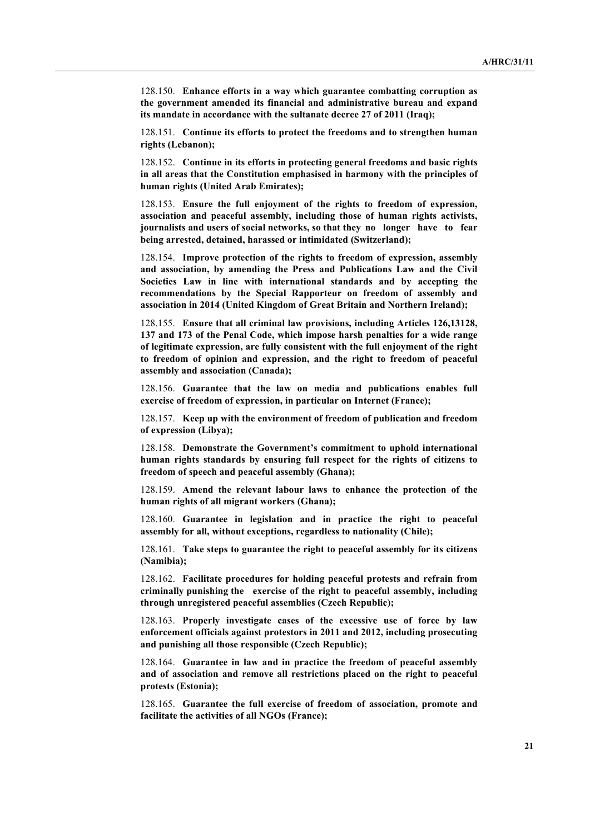128.150. **Enhance efforts in a way which guarantee combatting corruption as the government amended its financial and administrative bureau and expand its mandate in accordance with the sultanate decree 27 of 2011 (Iraq);**

128.151. **Continue its efforts to protect the freedoms and to strengthen human rights (Lebanon);**

128.152. **Continue in its efforts in protecting general freedoms and basic rights in all areas that the Constitution emphasised in harmony with the principles of human rights (United Arab Emirates);**

128.153. **Ensure the full enjoyment of the rights to freedom of expression, association and peaceful assembly, including those of human rights activists, journalists and users of social networks, so that they no longer have to fear being arrested, detained, harassed or intimidated (Switzerland);**

128.154. **Improve protection of the rights to freedom of expression, assembly and association, by amending the Press and Publications Law and the Civil Societies Law in line with international standards and by accepting the recommendations by the Special Rapporteur on freedom of assembly and association in 2014 (United Kingdom of Great Britain and Northern Ireland);**

128.155. **Ensure that all criminal law provisions, including Articles 126,13128, 137 and 173 of the Penal Code, which impose harsh penalties for a wide range of legitimate expression, are fully consistent with the full enjoyment of the right to freedom of opinion and expression, and the right to freedom of peaceful assembly and association (Canada);**

128.156. **Guarantee that the law on media and publications enables full exercise of freedom of expression, in particular on Internet (France);**

128.157. **Keep up with the environment of freedom of publication and freedom of expression (Libya);**

128.158. **Demonstrate the Government's commitment to uphold international human rights standards by ensuring full respect for the rights of citizens to freedom of speech and peaceful assembly (Ghana);**

128.159. **Amend the relevant labour laws to enhance the protection of the human rights of all migrant workers (Ghana);**

128.160. **Guarantee in legislation and in practice the right to peaceful assembly for all, without exceptions, regardless to nationality (Chile);**

128.161. **Take steps to guarantee the right to peaceful assembly for its citizens (Namibia);**

128.162. **Facilitate procedures for holding peaceful protests and refrain from criminally punishing the exercise of the right to peaceful assembly, including through unregistered peaceful assemblies (Czech Republic);**

128.163. **Properly investigate cases of the excessive use of force by law enforcement officials against protestors in 2011 and 2012, including prosecuting and punishing all those responsible (Czech Republic);**

128.164. **Guarantee in law and in practice the freedom of peaceful assembly and of association and remove all restrictions placed on the right to peaceful protests (Estonia);**

128.165. **Guarantee the full exercise of freedom of association, promote and facilitate the activities of all NGOs (France);**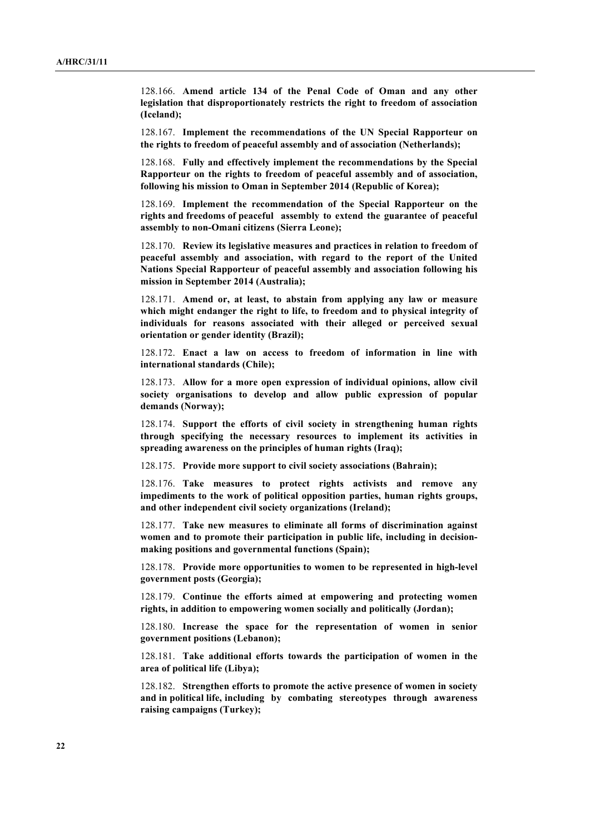128.166. **Amend article 134 of the Penal Code of Oman and any other legislation that disproportionately restricts the right to freedom of association (Iceland);**

128.167. **Implement the recommendations of the UN Special Rapporteur on the rights to freedom of peaceful assembly and of association (Netherlands);**

128.168. **Fully and effectively implement the recommendations by the Special Rapporteur on the rights to freedom of peaceful assembly and of association, following his mission to Oman in September 2014 (Republic of Korea);**

128.169. **Implement the recommendation of the Special Rapporteur on the rights and freedoms of peaceful assembly to extend the guarantee of peaceful assembly to non-Omani citizens (Sierra Leone);**

128.170. **Review its legislative measures and practices in relation to freedom of peaceful assembly and association, with regard to the report of the United Nations Special Rapporteur of peaceful assembly and association following his mission in September 2014 (Australia);**

128.171. **Amend or, at least, to abstain from applying any law or measure which might endanger the right to life, to freedom and to physical integrity of individuals for reasons associated with their alleged or perceived sexual orientation or gender identity (Brazil);**

128.172. **Enact a law on access to freedom of information in line with international standards (Chile);**

128.173. **Allow for a more open expression of individual opinions, allow civil society organisations to develop and allow public expression of popular demands (Norway);**

128.174. **Support the efforts of civil society in strengthening human rights through specifying the necessary resources to implement its activities in spreading awareness on the principles of human rights (Iraq);**

128.175. **Provide more support to civil society associations (Bahrain);**

128.176. **Take measures to protect rights activists and remove any impediments to the work of political opposition parties, human rights groups, and other independent civil society organizations (Ireland);**

128.177. **Take new measures to eliminate all forms of discrimination against women and to promote their participation in public life, including in decisionmaking positions and governmental functions (Spain);**

128.178. **Provide more opportunities to women to be represented in high-level government posts (Georgia);**

128.179. **Continue the efforts aimed at empowering and protecting women rights, in addition to empowering women socially and politically (Jordan);**

128.180. **Increase the space for the representation of women in senior government positions (Lebanon);**

128.181. **Take additional efforts towards the participation of women in the area of political life (Libya);**

128.182. **Strengthen efforts to promote the active presence of women in society and in political life, including by combating stereotypes through awareness raising campaigns (Turkey);**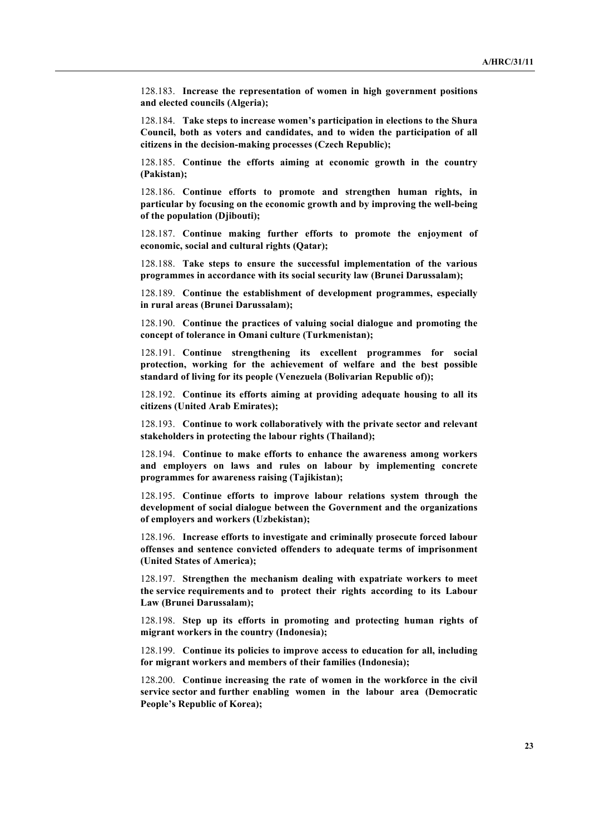128.183. **Increase the representation of women in high government positions and elected councils (Algeria);**

128.184. **Take steps to increase women's participation in elections to the Shura Council, both as voters and candidates, and to widen the participation of all citizens in the decision-making processes (Czech Republic);**

128.185. **Continue the efforts aiming at economic growth in the country (Pakistan);**

128.186. **Continue efforts to promote and strengthen human rights, in particular by focusing on the economic growth and by improving the well-being of the population (Djibouti);**

128.187. **Continue making further efforts to promote the enjoyment of economic, social and cultural rights (Qatar);**

128.188. **Take steps to ensure the successful implementation of the various programmes in accordance with its social security law (Brunei Darussalam);**

128.189. **Continue the establishment of development programmes, especially in rural areas (Brunei Darussalam);**

128.190. **Continue the practices of valuing social dialogue and promoting the concept of tolerance in Omani culture (Turkmenistan);**

128.191. **Continue strengthening its excellent programmes for social protection, working for the achievement of welfare and the best possible standard of living for its people (Venezuela (Bolivarian Republic of));**

128.192. **Continue its efforts aiming at providing adequate housing to all its citizens (United Arab Emirates);**

128.193. **Continue to work collaboratively with the private sector and relevant stakeholders in protecting the labour rights (Thailand);**

128.194. **Continue to make efforts to enhance the awareness among workers and employers on laws and rules on labour by implementing concrete programmes for awareness raising (Tajikistan);**

128.195. **Continue efforts to improve labour relations system through the development of social dialogue between the Government and the organizations of employers and workers (Uzbekistan);**

128.196. **Increase efforts to investigate and criminally prosecute forced labour offenses and sentence convicted offenders to adequate terms of imprisonment (United States of America);**

128.197. **Strengthen the mechanism dealing with expatriate workers to meet the service requirements and to protect their rights according to its Labour Law (Brunei Darussalam);**

128.198. **Step up its efforts in promoting and protecting human rights of migrant workers in the country (Indonesia);**

128.199. **Continue its policies to improve access to education for all, including for migrant workers and members of their families (Indonesia);**

128.200. **Continue increasing the rate of women in the workforce in the civil service sector and further enabling women in the labour area (Democratic People's Republic of Korea);**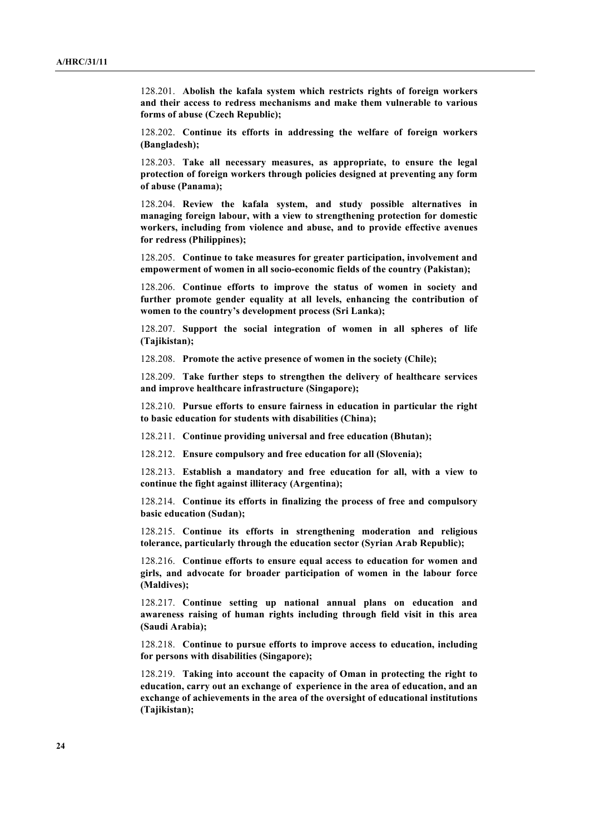128.201. **Abolish the kafala system which restricts rights of foreign workers and their access to redress mechanisms and make them vulnerable to various forms of abuse (Czech Republic);**

128.202. **Continue its efforts in addressing the welfare of foreign workers (Bangladesh);**

128.203. **Take all necessary measures, as appropriate, to ensure the legal protection of foreign workers through policies designed at preventing any form of abuse (Panama);**

128.204. **Review the kafala system, and study possible alternatives in managing foreign labour, with a view to strengthening protection for domestic workers, including from violence and abuse, and to provide effective avenues for redress (Philippines);**

128.205. **Continue to take measures for greater participation, involvement and empowerment of women in all socio-economic fields of the country (Pakistan);**

128.206. **Continue efforts to improve the status of women in society and further promote gender equality at all levels, enhancing the contribution of women to the country's development process (Sri Lanka);**

128.207. **Support the social integration of women in all spheres of life (Tajikistan);**

128.208. **Promote the active presence of women in the society (Chile);**

128.209. **Take further steps to strengthen the delivery of healthcare services and improve healthcare infrastructure (Singapore);**

128.210. **Pursue efforts to ensure fairness in education in particular the right to basic education for students with disabilities (China);**

128.211. **Continue providing universal and free education (Bhutan);**

128.212. **Ensure compulsory and free education for all (Slovenia);**

128.213. **Establish a mandatory and free education for all, with a view to continue the fight against illiteracy (Argentina);**

128.214. **Continue its efforts in finalizing the process of free and compulsory basic education (Sudan);**

128.215. **Continue its efforts in strengthening moderation and religious tolerance, particularly through the education sector (Syrian Arab Republic);**

128.216. **Continue efforts to ensure equal access to education for women and girls, and advocate for broader participation of women in the labour force (Maldives);**

128.217. **Continue setting up national annual plans on education and awareness raising of human rights including through field visit in this area (Saudi Arabia);**

128.218. **Continue to pursue efforts to improve access to education, including for persons with disabilities (Singapore);**

128.219. **Taking into account the capacity of Oman in protecting the right to education, carry out an exchange of experience in the area of education, and an exchange of achievements in the area of the oversight of educational institutions (Tajikistan);**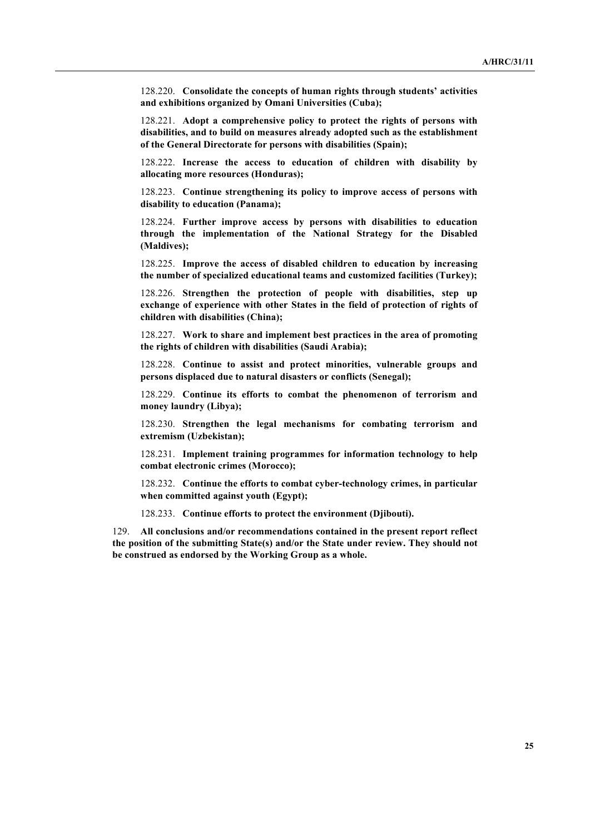128.220. **Consolidate the concepts of human rights through students' activities and exhibitions organized by Omani Universities (Cuba);**

128.221. **Adopt a comprehensive policy to protect the rights of persons with disabilities, and to build on measures already adopted such as the establishment of the General Directorate for persons with disabilities (Spain);**

128.222. **Increase the access to education of children with disability by allocating more resources (Honduras);**

128.223. **Continue strengthening its policy to improve access of persons with disability to education (Panama);**

128.224. **Further improve access by persons with disabilities to education through the implementation of the National Strategy for the Disabled (Maldives);**

128.225. **Improve the access of disabled children to education by increasing the number of specialized educational teams and customized facilities (Turkey);**

128.226. **Strengthen the protection of people with disabilities, step up exchange of experience with other States in the field of protection of rights of children with disabilities (China);**

128.227. **Work to share and implement best practices in the area of promoting the rights of children with disabilities (Saudi Arabia);**

128.228. **Continue to assist and protect minorities, vulnerable groups and persons displaced due to natural disasters or conflicts (Senegal);**

128.229. **Continue its efforts to combat the phenomenon of terrorism and money laundry (Libya);**

128.230. **Strengthen the legal mechanisms for combating terrorism and extremism (Uzbekistan);**

128.231. **Implement training programmes for information technology to help combat electronic crimes (Morocco);**

128.232. **Continue the efforts to combat cyber-technology crimes, in particular when committed against youth (Egypt);**

128.233. **Continue efforts to protect the environment (Djibouti).**

129. **All conclusions and/or recommendations contained in the present report reflect the position of the submitting State(s) and/or the State under review. They should not be construed as endorsed by the Working Group as a whole.**